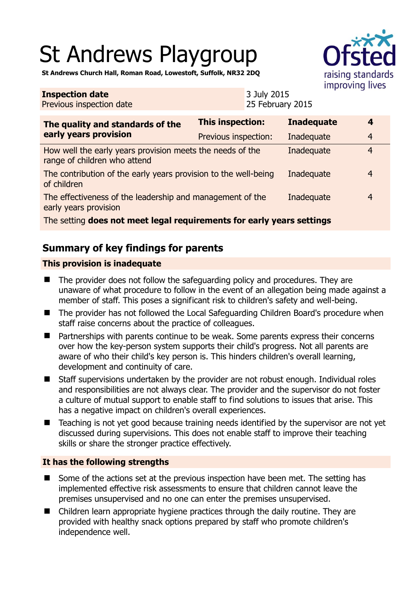# St Andrews Playgroup



**St Andrews Church Hall, Roman Road, Lowestoft, Suffolk, NR32 2DQ** 

#### **Inspection date** Previous inspection date 3 July 2015 25 February 2015 **The quality and standards of the early years provision This inspection: Inadequate 4**  Previous inspection: Inadequate 4 How well the early years provision meets the needs of the range of children who attend Inadequate 4 The contribution of the early years provision to the well-being of children Inadequate 4 The effectiveness of the leadership and management of the early years provision Inadequate 4 The setting **does not meet legal requirements for early years settings**

# **Summary of key findings for parents**

# **This provision is inadequate**

- The provider does not follow the safeguarding policy and procedures. They are unaware of what procedure to follow in the event of an allegation being made against a member of staff. This poses a significant risk to children's safety and well-being.
- The provider has not followed the Local Safeguarding Children Board's procedure when staff raise concerns about the practice of colleagues.
- Partnerships with parents continue to be weak. Some parents express their concerns over how the key-person system supports their child's progress. Not all parents are aware of who their child's key person is. This hinders children's overall learning, development and continuity of care.
- Staff supervisions undertaken by the provider are not robust enough. Individual roles and responsibilities are not always clear. The provider and the supervisor do not foster a culture of mutual support to enable staff to find solutions to issues that arise. This has a negative impact on children's overall experiences.
- Teaching is not yet good because training needs identified by the supervisor are not yet discussed during supervisions. This does not enable staff to improve their teaching skills or share the stronger practice effectively.

# **It has the following strengths**

- Some of the actions set at the previous inspection have been met. The setting has implemented effective risk assessments to ensure that children cannot leave the premises unsupervised and no one can enter the premises unsupervised.
- Children learn appropriate hygiene practices through the daily routine. They are provided with healthy snack options prepared by staff who promote children's independence well.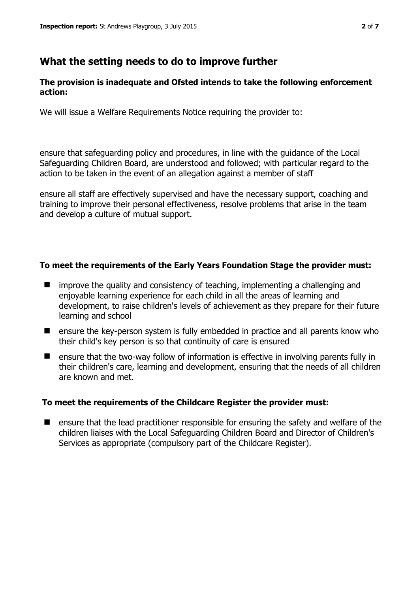# **What the setting needs to do to improve further**

# **The provision is inadequate and Ofsted intends to take the following enforcement action:**

We will issue a Welfare Requirements Notice requiring the provider to:

ensure that safeguarding policy and procedures, in line with the guidance of the Local Safeguarding Children Board, are understood and followed; with particular regard to the action to be taken in the event of an allegation against a member of staff

ensure all staff are effectively supervised and have the necessary support, coaching and training to improve their personal effectiveness, resolve problems that arise in the team and develop a culture of mutual support.

# **To meet the requirements of the Early Years Foundation Stage the provider must:**

- $\blacksquare$  improve the quality and consistency of teaching, implementing a challenging and enjoyable learning experience for each child in all the areas of learning and development, to raise children's levels of achievement as they prepare for their future learning and school
- ensure the key-person system is fully embedded in practice and all parents know who their child's key person is so that continuity of care is ensured
- ensure that the two-way follow of information is effective in involving parents fully in their children's care, learning and development, ensuring that the needs of all children are known and met.

### **To meet the requirements of the Childcare Register the provider must:**

**E** ensure that the lead practitioner responsible for ensuring the safety and welfare of the children liaises with the Local Safeguarding Children Board and Director of Children's Services as appropriate (compulsory part of the Childcare Register).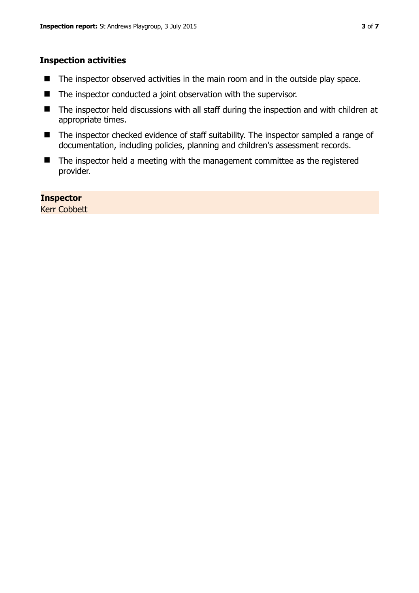# **Inspection activities**

- The inspector observed activities in the main room and in the outside play space.
- The inspector conducted a joint observation with the supervisor.
- The inspector held discussions with all staff during the inspection and with children at appropriate times.
- The inspector checked evidence of staff suitability. The inspector sampled a range of documentation, including policies, planning and children's assessment records.
- The inspector held a meeting with the management committee as the registered provider.

# **Inspector**

Kerr Cobbett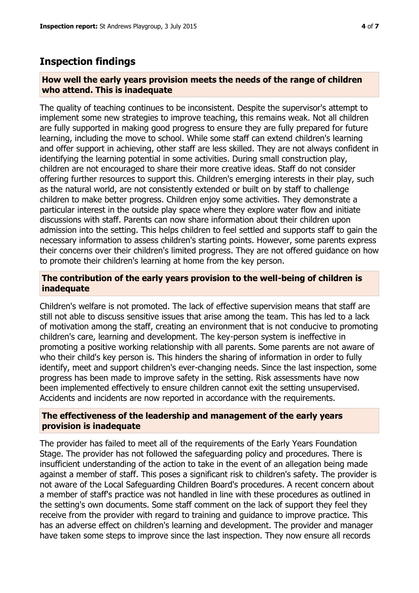# **Inspection findings**

# **How well the early years provision meets the needs of the range of children who attend. This is inadequate**

The quality of teaching continues to be inconsistent. Despite the supervisor's attempt to implement some new strategies to improve teaching, this remains weak. Not all children are fully supported in making good progress to ensure they are fully prepared for future learning, including the move to school. While some staff can extend children's learning and offer support in achieving, other staff are less skilled. They are not always confident in identifying the learning potential in some activities. During small construction play, children are not encouraged to share their more creative ideas. Staff do not consider offering further resources to support this. Children's emerging interests in their play, such as the natural world, are not consistently extended or built on by staff to challenge children to make better progress. Children enjoy some activities. They demonstrate a particular interest in the outside play space where they explore water flow and initiate discussions with staff. Parents can now share information about their children upon admission into the setting. This helps children to feel settled and supports staff to gain the necessary information to assess children's starting points. However, some parents express their concerns over their children's limited progress. They are not offered guidance on how to promote their children's learning at home from the key person.

# **The contribution of the early years provision to the well-being of children is inadequate**

Children's welfare is not promoted. The lack of effective supervision means that staff are still not able to discuss sensitive issues that arise among the team. This has led to a lack of motivation among the staff, creating an environment that is not conducive to promoting children's care, learning and development. The key-person system is ineffective in promoting a positive working relationship with all parents. Some parents are not aware of who their child's key person is. This hinders the sharing of information in order to fully identify, meet and support children's ever-changing needs. Since the last inspection, some progress has been made to improve safety in the setting. Risk assessments have now been implemented effectively to ensure children cannot exit the setting unsupervised. Accidents and incidents are now reported in accordance with the requirements.

# **The effectiveness of the leadership and management of the early years provision is inadequate**

The provider has failed to meet all of the requirements of the Early Years Foundation Stage. The provider has not followed the safeguarding policy and procedures. There is insufficient understanding of the action to take in the event of an allegation being made against a member of staff. This poses a significant risk to children's safety. The provider is not aware of the Local Safeguarding Children Board's procedures. A recent concern about a member of staff's practice was not handled in line with these procedures as outlined in the setting's own documents. Some staff comment on the lack of support they feel they receive from the provider with regard to training and guidance to improve practice. This has an adverse effect on children's learning and development. The provider and manager have taken some steps to improve since the last inspection. They now ensure all records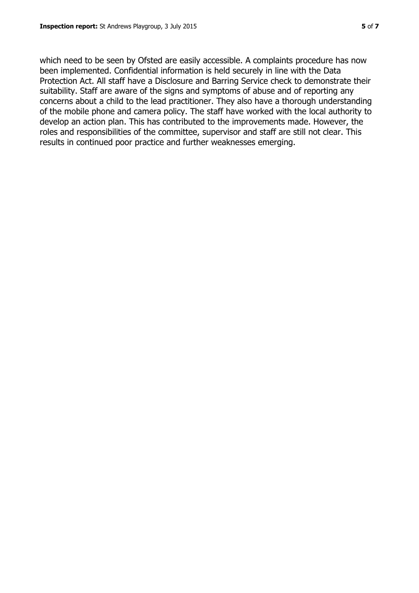which need to be seen by Ofsted are easily accessible. A complaints procedure has now been implemented. Confidential information is held securely in line with the Data Protection Act. All staff have a Disclosure and Barring Service check to demonstrate their suitability. Staff are aware of the signs and symptoms of abuse and of reporting any concerns about a child to the lead practitioner. They also have a thorough understanding of the mobile phone and camera policy. The staff have worked with the local authority to develop an action plan. This has contributed to the improvements made. However, the roles and responsibilities of the committee, supervisor and staff are still not clear. This results in continued poor practice and further weaknesses emerging.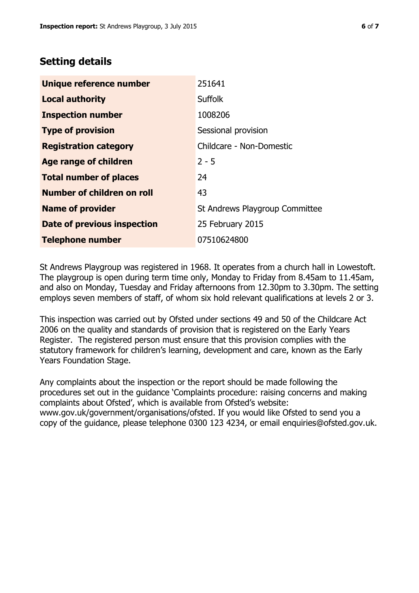# **Setting details**

| Unique reference number            | 251641                         |
|------------------------------------|--------------------------------|
| <b>Local authority</b>             | <b>Suffolk</b>                 |
| <b>Inspection number</b>           | 1008206                        |
| <b>Type of provision</b>           | Sessional provision            |
| <b>Registration category</b>       | Childcare - Non-Domestic       |
| Age range of children              | $2 - 5$                        |
| <b>Total number of places</b>      | 24                             |
| Number of children on roll         | 43                             |
| <b>Name of provider</b>            | St Andrews Playgroup Committee |
| <b>Date of previous inspection</b> | 25 February 2015               |
| <b>Telephone number</b>            | 07510624800                    |

St Andrews Playgroup was registered in 1968. It operates from a church hall in Lowestoft. The playgroup is open during term time only, Monday to Friday from 8.45am to 11.45am, and also on Monday, Tuesday and Friday afternoons from 12.30pm to 3.30pm. The setting employs seven members of staff, of whom six hold relevant qualifications at levels 2 or 3.

This inspection was carried out by Ofsted under sections 49 and 50 of the Childcare Act 2006 on the quality and standards of provision that is registered on the Early Years Register. The registered person must ensure that this provision complies with the statutory framework for children's learning, development and care, known as the Early Years Foundation Stage.

Any complaints about the inspection or the report should be made following the procedures set out in the guidance 'Complaints procedure: raising concerns and making complaints about Ofsted', which is available from Ofsted's website: www.gov.uk/government/organisations/ofsted. If you would like Ofsted to send you a copy of the guidance, please telephone 0300 123 4234, or email enquiries@ofsted.gov.uk.